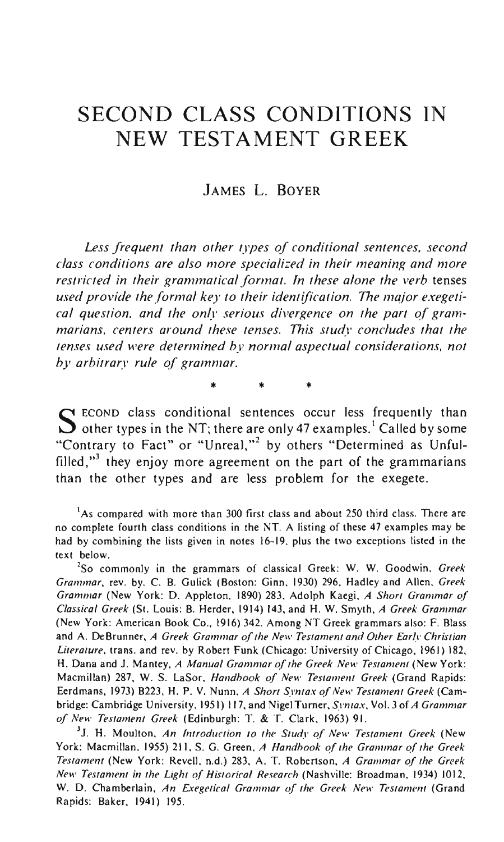# **SECOND CLASS CONDITIONS IN NEW TESTAMENT GREEK**

## JAMES L. BOYER

*Less frequent than other types of conditional sentences, second class conditions are also more specialized in their meaning and more*  restricted in their grammatical format. In these alone the verb tenses *used provide the formal key to their identification.* The *maior exegeti*cal question, and the only serious divergence on the part of gram*marians, centers around these tenses. This study concludes that the tenses used were determined by normal aspectual considerations, not by arbitrary rule of grammar.* 

\* \* \*

 $S$  ECOND class conditional sentences occur less frequently than other types in the NT; there are only 47 examples.<sup>1</sup> Called by some "Contrary to Fact" or "Unreal,"<sup>2</sup> by others "Determined as Unfulfilled, $"$  they enjoy more agreement on the part of the grammarians than the other types and are less problem for the exegete.

**'As compared with more than 300 first class and about 250 third class. There are no complete fourth class conditions in the NT. A listing of these 47 examples may be**  had by combining the lists given in notes 16-19, plus the two exceptions listed in the text below.

**2S0 commonly in the grammars of classical Greek: W. W. Goodwin,** *Greek Grammar,* rev. by. C. B. Gulick (Boston: Ginn. 1930) 296, Hadley and Allen. *Greek Grammar (New York: D. Appleton, 1890) 283, Adolph Kaegi, A Short Grammar of Classical Greek* (St. Louis: B. Herder, 1914) 143, and H. W. Smyth, *A Greek Grammar*  (New York: American Book Co., 1916) 342. Among NT Greek grammars also: F. Blass and A. DeBrunner, *A Greek Grammar of the New Testament and Other Early Christian Literature,* trans. and rev. by Robert Funk (Chicago: University of Chicago, 1961) 182, H. Dana and J. Mantey, *A Manual Grammar of the Greek New Testament* (New York: Macmillan) 287, W. S. LaSor, *Handbook of New Testament Greek* (Grand Rapids: Eerdmans, 1973) B223, H. P. V. Nunn, *A Short Syntax of New Testament Greek* (Cambridge: Cambridge University, 1951) 117, and NigelTurner, *Syntax,* Vol. 3 of *A Grammar of New Testament Greek* (Edinburgh: T. & T. Clark, 1963) 91.

**31. H. Moulton,** *An Introduction to the Study of New Testament Greek* **(New**  York: Macmillan. 1955) 211, S. G. Green. *A Handhook of the Grammar of the Greek Testament* (New York: Revell, n.d.) 283, A. T. Robertson, *A Grammar* ~f *the Greek New Testament in the Light of Historical Research* (Nashville: Broadman, 1934) 1012, **w. D. Chamberlain,** *An Exegetical Grammar of the Greek New Testament* **(Grand**  Rapids: Baker, 1941) 195.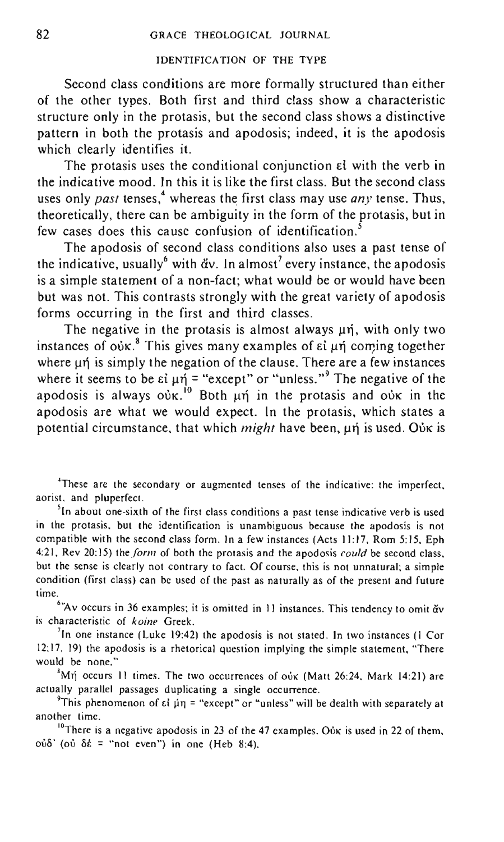#### IDENTIFICATION OF THE TYPE

Second class conditions are more formally structured than either of the other types. Both first and third class show a characteristic structure only in the protasis, but the second class shows a distinctive pattern in both the protasis and apodosis; indeed, it is the apodosis which clearly identifies it.

The protasis uses the conditional conjunction  $\varepsilon i$  with the verb in the indicative mood. In this it is like the first class. But the second class uses only *past* tenses,<sup>4</sup> whereas the first class may use *any* tense. Thus, theoretically, there can be ambiguity in the form of the protasis, but in few cases does this cause confusion of identification.'

The apodosis of second class conditions also uses a past tense of the indicative, usually with  $\ddot{\alpha}v$ . In almost<sup>7</sup> every instance, the apodosis is a simple statement of a non-fact; what would be or would have been but was not. This contrasts strongly with the great variety of apodosis forms occurring in the first and third classes.

The negative in the protasis is almost always  $\mu$ n, with only two instances of  $o$ úk.<sup>8</sup> This gives many examples of  $\varepsilon i$   $\mu$ n coming together where  $\mu$ n is simply the negation of the clause. There are a few instances where it seems to be  $\epsilon i \mu \eta$  = "except" or "unless."<sup>9</sup> The negative of the apodosis is always  $o\nu$ K.<sup>10</sup> Both  $\mu$ n in the protasis and  $o\nu$ K in the apodosis are what we would expect. In the protasis, which states a potential circumstance, that which *might* have been, μή is used. Ούκ is

**4These are the secondary or augmented tenses of the indicative: the imperfect, aorist. and pluperfect.** 

<sup>5</sup>In about one-sixth of the first class conditions a past tense indicative verb is used **in the protasis. but the identification is unambiguous because the apodosis is not**  compatible with the second class form. In a few instances (Acts 11:17, Rom 5:15, Eph 4: 21, Rev 20: 15) the *form* of both the protasis and the apodosis *could* be second class, **but the sense is clearly not contrary to fact. Of course, this is not unnatural; a simple condition (first class) can be used of the past as naturally as of the present and future time.** 

<sup>6</sup>"Av occurs in 36 examples; it is omitted in 11 instances. This tendency to omit  $\breve{\textbf{a}}$ v **is characteristic of** *koine* **Greek.** 

**<sup>7</sup> 1n one instance (Luke 19:42) the apodosis is not stated. In two instances (I Cor 12:17, 19) the apodosis is a rhetorical question implying the simple statement, "There would be none."** 

 $^{8}$ Mή occurs 11 times. The two occurrences of oùx (Matt 26:24, Mark 14:21) are **actually parallel passages duplicating a single occurrence.** 

<sup>9</sup> This phenomenon of εί μη = "except" or "unless" will be dealth with separately at **another time.** 

<sup>10</sup>There is a negative apodosis in 23 of the 47 examples. Oux is used in 22 of them,  $\partial \dot{\delta}$  (oi  $\delta \dot{\epsilon}$  = "not even") in one (Heb 8:4).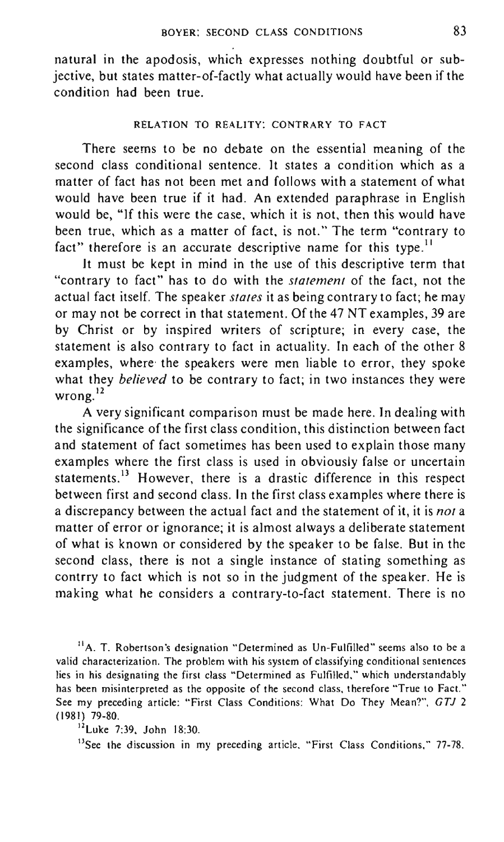natural in the apodosis, which expresses nothing doubtful or subjective, but states matter-of-factly what actually would have been if the condition had been true.

## RELATION TO REALITY: CONTRARY TO FACT

There seems to be no debate on the essential meaning of the second class conditional sentence. It states a condition which as a matter of fact has not been met and follows with a statement of what would have been true if it had. An extended paraphrase in English would be, "If this were the case, which it is not, then this would have been true, which as a matter of fact, is not." The term "contrary to fact" therefore is an accurate descriptive name for this type.<sup>11</sup>

It must be kept in mind in the use of this descriptive term that "contrary to fact" has to do with the *statement* of the fact, not the actual fact itself. The speaker *stales* it as being contrary to fact; he may or may not be correct in that statement. Of the 47 NT examples, 39 are by Christ or by inspired writers of scripture; in every case, the statement is also contrary to fact in actuality. In each of the other 8 examples, where' the speakers were men liable to error, they spoke what they *believed* to be contrary to fact; in two instances they were wrong.<sup>12</sup>

A very significant comparison must be made here. In dealing with the significance of the first class condition, this distinction between fact and statement of fact sometimes has been used to explain those many examples where the first class is used in obviously false or uncertain statements.<sup>13</sup> However, there is a drastic difference in this respect between first and second class. In the first class examples where there is a discrepancy between the actual fact and the statement of it, it is *not* a matter of error or ignorance; it is almost always a deliberate statement of what is known or considered by the speaker to be false. But in the second class, there is not a single instance of stating something as contrry to fact which is not so in the judgment of the speaker. He is making what he considers a contrary-to-fact statement. There is no

<sup>11</sup>A. T. Robertson's designation "Determined as Un-Fulfilled" seems also to be a **valid characterization. The problem with his system of classifying conditional sentences lies in his designating the first class "Determined as Fulfilled," which understandably**  has been misinterpreted as the opposite of the second class, therefore "True to Fact." See my preceding article: "First Class Conditions: What Do They Mean?", GTJ 2 (1981) 79-80.

## 12Luke 7:39, John 18:30.

**13See the discussion in my preceding article. "First Class Conditions," 77-78.**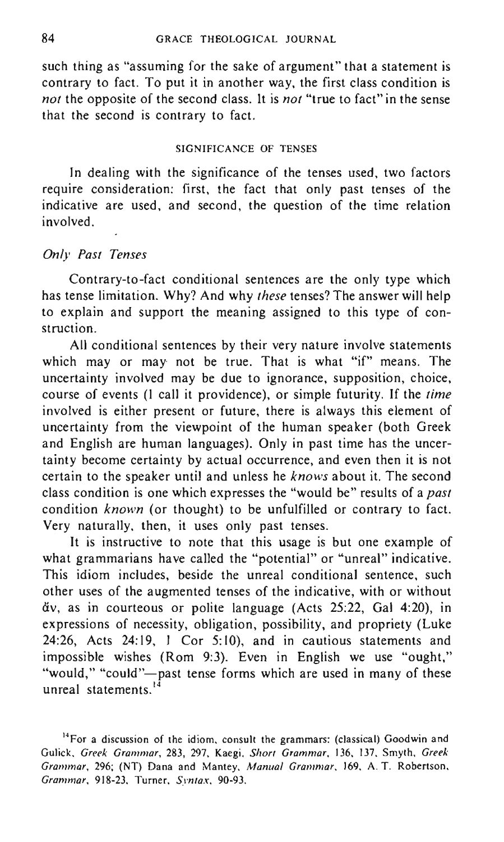such thing as "assuming for the sake of argument" that a statement is contrary to fact. To put it in another way, the first class condition is *not* the opposite of the second class. It is *not* "true to fact" in the sense that the second is contrary to fact.

#### SIGNIFICANCE OF TENSES

In dealing with the significance of the tenses used, two factors require consideration: first, the fact that only past tenses of the indicative are used, and second, the question of the time relation involved.

## *Only Past Tenses*

Contrary-to-fact conditional sentences are the only type which has tense limitation. Why? And why *these* tenses? The answer will help to explain and support the meaning assigned to this type of construction.

All conditional sentences by their very nature involve statements which may or may not be true. That is what "if" means. The uncertainty involved may be due to ignorance, supposition, choice, course of events (I call it providence), or simple futurity. If the *time*  involved is either present or future, there is always this element of uncertainty from the viewpoint of the human speaker (both Greek and English are human languages). Only in past time has the uncertainty become certainty by actual occurrence, and even then it is not certain to the speaker until and unless he *knows* about it. The second class condition is one which expresses the "would be" results of a *past*  condition *known* (or thought) to be unfulfilled or contrary to fact. Very naturally, then, it uses only past tenses.

It is instructive to note that this usage is but one example of what grammarians have called the "potential" or "unreal" indicative. This idiom includes, beside the unreal conditional sentence, such other uses of the augmented tenses of the indicative, with or without  $\check{\alpha}$ v, as in courteous or polite language (Acts 25:22, Gal 4:20), in expressions of necessity, obligation, possibility, and propriety (Luke 24:26, Acts 24:19, I Cor 5:10), and in cautious statements and impossible wishes (Rom 9:3). Even in English we use "ought," "would," "could"-past tense forms which are used in many of these unreal statements.<sup>14</sup>

**<sup>14</sup>For a discussion of** *the* **idiom, consult the grammars: (classical) Goodwin and**  Gulick, Greek Grammar, 283, 297, Kaegi, Short Grammar, 136, 137, Smyth, Greek *Grammar,* 296; (NT) Dana and Mantey, *Manual Grammar,* 169. A. T. Robertson, *Grammar,* 918-23, Turner, *Syntax, 90-93.*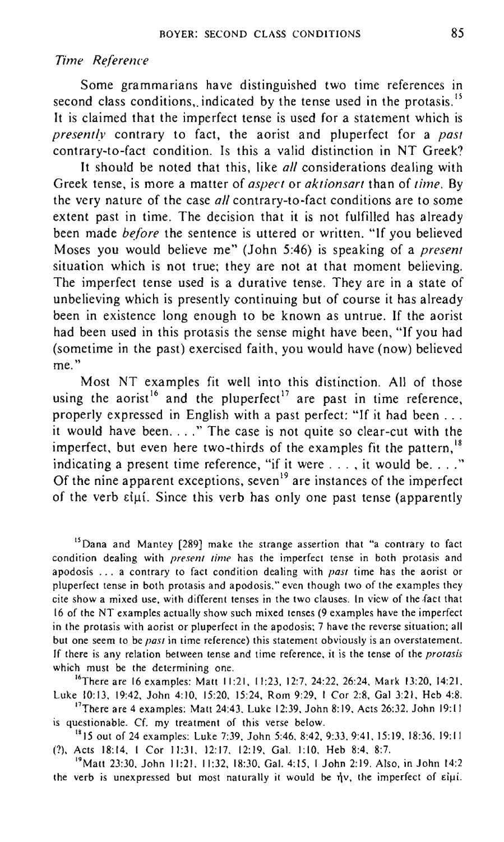## *Time Reference*

Some grammarians have distinguished two time references in second class conditions, indicated by the tense used in the protasis.<sup>15</sup> It is claimed that the imperfect tense is used for a statement which is *presently* contrary to fact, the aorist and pluperfect for a *past*  contrary-to-fact condition. Is this a valid distinction in NT Greek?

It should be noted that this, like *all* considerations dealing with Greek tense, is more a matter of *aspect* or *aktionsart* than of *time.* By the very nature of the case *all* contrary-to-fact conditions are to some extent past in time. The decision that it is not fulfilled has already been made *before* the sentence is uttered or written. "If you believed Moses you would believe me" (John 5:46) is speaking of a *present*  situation which is not true; they are not at that moment believing. The imperfect tense used is a durative tense. They are in a state of unbelieving which is presently continuing but of course it has already been in existence long enough to be known as untrue. If the aorist had been used in this protasis the sense might have been, "If you had (sometime in the past) exercised faith, you would have (now) believed **me."** 

Most NT examples fit well into this distinction. All of those using the aorist<sup>16</sup> and the pluperfect<sup>17</sup> are past in time reference, properly expressed in English with a past perfect: "If it had been ... it would have been...." The case is not quite so clear-cut with the imperfect, but even here two-thirds of the examples fit the pattern,<sup>18</sup> indicating a present time reference, "if it were  $\dots$ , it would be  $\dots$ ." Of the nine apparent exceptions, seven<sup>19</sup> are instances of the imperfect of the verb  $\epsilon i\mu i$ . Since this verb has only one past tense (apparently

**<sup>15</sup> Dana and Mantey [289] make the strange assertion that "a contrary to fact**  condition dealing with *present time* has the imperfect tense in both protasis and apodosis ... a contrary to fact condition dealing with *past* time has the aorist or **pluperfect tense in both protasis and apodosis," even though two of the examples they cite show a mixed use, with different tenses in the two clauses. In view of the fact that**  16 of the NT examples actually show such mixed tenses (9 examples have the imperfect but one seem to be *past* in time reference) this statement obviously is an overstatement. If there is any relation between tense and time reference, it is the tense of the *protasis* **which must be the determining one.** 

16There are 16 examples: Matt 11:21, 11:23, 12:7.24:22.26:24. Mark 13:20, 14:21 , Luke 10:13. 19:42, John 4:10. 15:20. 15:24, Rom 9:29, I Cor 2:8, Gal 3:21 . Heb 4:8.

<sup>17</sup>There are 4 examples: Matt 24:43, Luke 12:39, John 8:19, Acts 26:32. John 19:11 **is questionable. Cf. my treatment of this verse below.** 

<sup>18</sup>15 out of 24 examples: Luke 7:39, John 5:46, 8:42, 9:33, 9:41, 15:19, 18:36, 19:11 (?), Acts 18:14. I Cor 11:31. 12:17. 12:19, Gal. 1:10. Heb 8:4, 8:7.

I'Matt 23:30, John 11:21. 11:32,18:30. Gal. 4:15. I John 2:19. Also, in John 14:2 the verb is unexpressed but most naturally it would be  $\eta v$ , the imperfect of  $\epsilon i \mu i$ .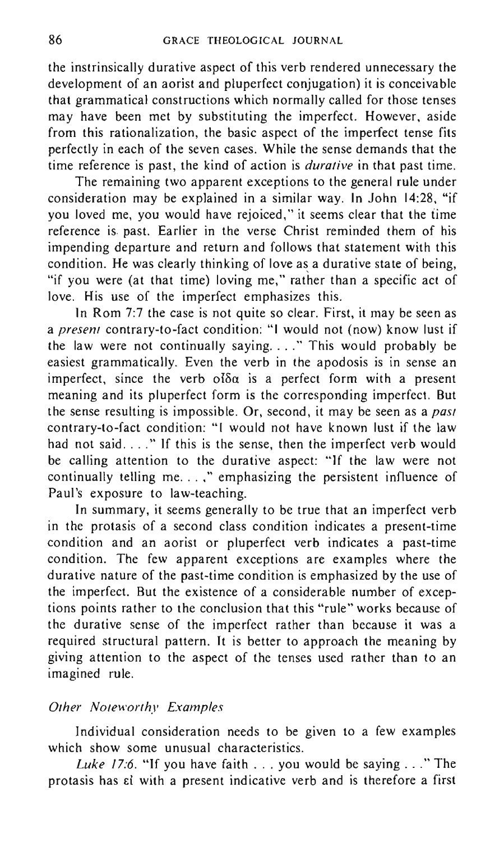the instrinsically durative aspect of this verb rendered unnecessary the development of an aorist and pluperfect conjugation) it is conceivable that grammatical constructions which normally called for those tenses may have been met by substituting the imperfect. However, aside from this rationalization, the basic aspect of the imperfect tense fits perfectly in each of the seven cases. While the sense demands that the time reference is past, the kind of action is *durative* in that past time.

The remaining two apparent exceptions to the general rule under consideration may be explained in a similar way. In John 14:28, "if you loved me, you would have rejoiced," it seems clear that the time reference is. past. Earlier in the verse Christ reminded them of his impending departure and return and follows that statement with this condition. He was clearly thinking of love as a durative state of being, "if you were (at that time) loving me," rather than a specific act of love. His use of the imperfect emphasizes this.

In Rom 7:7 the case is not quite so clear. First, it may be seen as a *present* contrary-to-fact condition: "I would not (now) know lust if the law were not continually saying .... " This would probably be easiest grammatically. Even the verb in the apodosis is in sense an imperfect, since the verb olda is a perfect form with a present meaning and its pluperfect form is the corresponding imperfect. But the sense resulting is impossible. Or, second, it may be seen as a *past*  contrary-to-fact condition: "I would not have known lust if the law had not said...." If this is the sense, then the imperfect verb would be calling attention to the durative aspect: "If the law were not continually telling me...," emphasizing the persistent influence of Paul's exposure to law-teaching.

In summary, it seems generally to be true that an imperfect verb in the protasis of a second class condition indicates a present-time condition and an aorist or pluperfect verb indicates a past-time condition. The few apparent exceptions are examples where the durative nature of the past-time condition is emphasized by the use of the imperfect. But the existence of a considerable number of exceptions points rather to the conclusion that this "rule" works because of the durative sense of the imperfect rather than because it was a required structural pattern. It is better to approach the meaning by giving attention to the aspect of the tenses used rather than to an imagined rule.

## *Other Noteworthy Examples*

Individual consideration needs to be given to a few examples which show some unusual characteristics.

*Luke* 17:6. "If you have faith ... you would be saying ... " The protasis has  $\varepsilon i$  with a present indicative verb and is therefore a first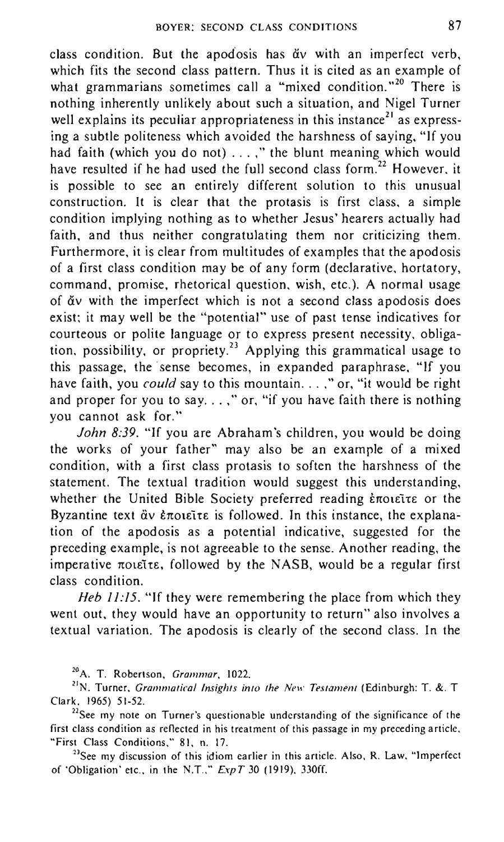class condition. But the apodosis has dv with an imperfect verb, which fits the second class pattern. Thus it is cited as an example of what grammarians sometimes call a "mixed condition."<sup>20</sup> There is nothing inherently unlikely about such a situation, and Nigel Turner well explains its peculiar appropriateness in this instance<sup>21</sup> as expressing a subtle politeness which avoided the harshness of saying, "If you had faith (which you do not) ... ," the blunt meaning which would have resulted if he had used the full second class form.<sup>22</sup> However, it is possible to see an entirely different solution to this unusual construction. It is clear that the protasis is first class, a simple condition implying nothing as to whether Jesus' hearers actually had faith, and thus neither congratulating them nor criticizing them. Furthermore, it is clear from multitudes of examples that the apodosis of a first class condition may be of any form (declarative, hortatory, command, promise, rhetorical question, wish, etc.). A normal usage of Civ with the imperfect which is not a second class apodosis does exist: it may well be the "potential" use of past tense indicatives for courteous or polite language or to express present necessity, obligation, possibility, or propriety.<sup>23</sup> Applying this grammatical usage to this passage, the' sense becomes, in expanded paraphrase, "If you have faith, you *could* say to this mountain...," or, "it would be right and proper for you to say.  $\ldots$ ," or, "if you have faith there is nothing you cannot ask for."

*John* 8:39. "If you are Abraham's children, you would be doing the works of your father" may also be an example of a mixed condition, with a first class protasis to soften the harshness of the statement. The textual tradition would suggest this understanding, whether the United Bible Society preferred reading έποιεῖτε or the Byzantine text  $\ddot{a}v$  *eroseite* is followed. In this instance, the explanation of the apodosis as a potential indicative, suggested for the preceding example, is not agreeable to the sense. Another reading, the imperative  $\pi$ olette, followed by the NASB, would be a regular first class condition.

*Heb 11:15*. "If they were remembering the place from which they went out, they would have an opportunity to return" also involves a textual variation. The apodosis is clearly of the second class. In the

<sup>23</sup>See my discussion of this idiom earlier in this article. Also, R. Law, "Imperfect of 'Obligation' etc., in the N.T.,"  $ExpT$  30 (1919), 330ff.

**<sup>20</sup>A. T. Robertson. Grammar, 1022.** 

<sup>&</sup>lt;sup>21</sup>N. Turner, *Grammatical Insights into the New Testament* (Edinburgh: T. &. T. Clark, 1965) 51-52.

**<sup>22</sup>See my note on Turner's questionable understanding of the significance of the first class condition as reflected in his treatment of this passage in my preceding article.**  " First Class Conditions," 81, n. 17.